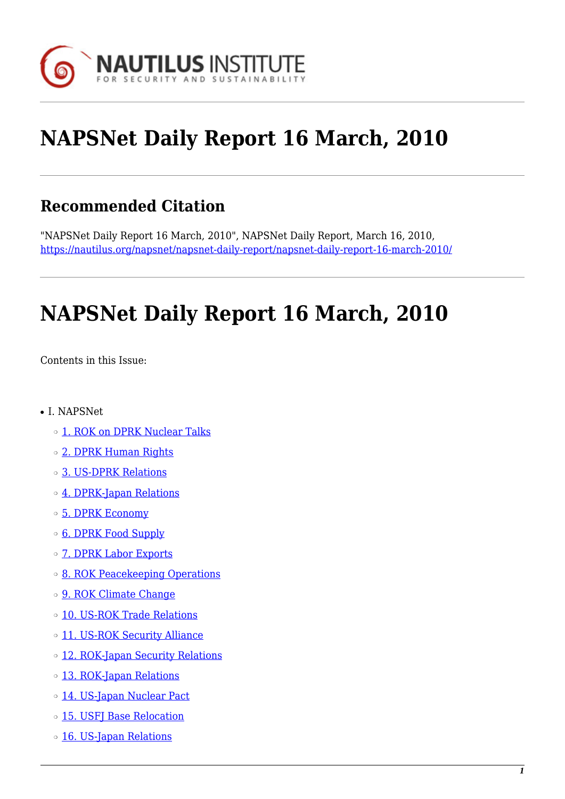

# **NAPSNet Daily Report 16 March, 2010**

# **Recommended Citation**

"NAPSNet Daily Report 16 March, 2010", NAPSNet Daily Report, March 16, 2010, <https://nautilus.org/napsnet/napsnet-daily-report/napsnet-daily-report-16-march-2010/>

# **NAPSNet Daily Report 16 March, 2010**

<span id="page-0-0"></span>Contents in this Issue:

- I. NAPSNet
	- ❍ [1. ROK on DPRK Nuclear Talks](#page-1-0)
	- ❍ [2. DPRK Human Rights](#page-1-1)
	- ❍ [3. US-DPRK Relations](#page-1-2)
	- o [4. DPRK-Japan Relations](#page-2-0)
	- ❍ [5. DPRK Economy](#page-2-1)
	- ❍ [6. DPRK Food Supply](#page-2-2)
	- o **[7. DPRK Labor Exports](#page-3-0)**
	- ❍ [8. ROK Peacekeeping Operations](#page-3-1)
	- o [9. ROK Climate Change](#page-3-2)
	- o [10. US-ROK Trade Relations](#page-3-3)
	- o [11. US-ROK Security Alliance](#page-4-0)
	- ❍ [12. ROK-Japan Security Relations](#page-4-1)
	- o [13. ROK-Japan Relations](#page-4-2)
	- o [14. US-Japan Nuclear Pact](#page-4-3)
	- ❍ [15. USFJ Base Relocation](#page-5-0)
	- o [16. US-Japan Relations](#page-5-1)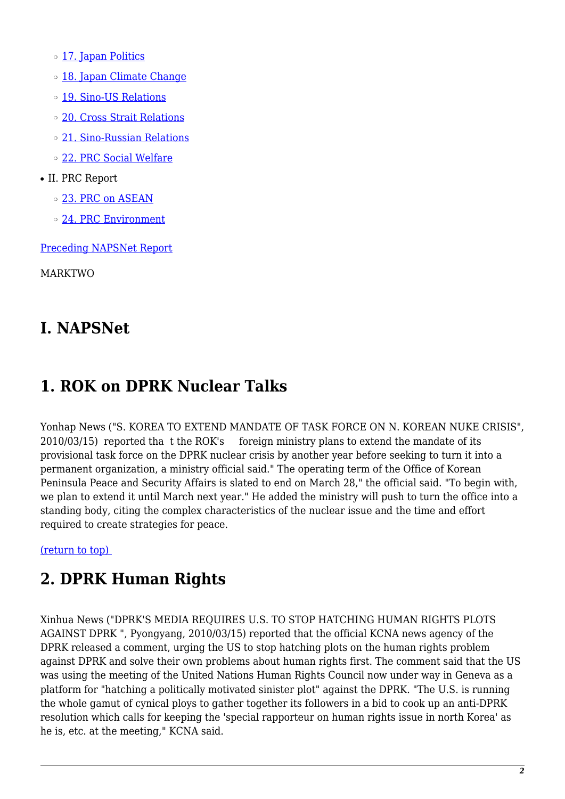o [17. Japan Politics](#page-5-2)

- o [18. Japan Climate Change](#page-6-0)
- o [19. Sino-US Relations](#page-6-1)
- ❍ [20. Cross Strait Relations](#page-6-2)
- ❍ [21. Sino-Russian Relations](#page-6-3)
- ❍ [22. PRC Social Welfare](#page-7-0)
- II. PRC Report
	- o [23. PRC on ASEAN](#page-7-1)
	- ❍ [24. PRC Environment](#page-7-2)

[Preceding NAPSNet Report](https://nautilus.org/mailing-lists/napsnet/dr/2010-2/napsnet-daily-report-15-march-2010/)

MARKTWO

# **I. NAPSNet**

# <span id="page-1-0"></span>**1. ROK on DPRK Nuclear Talks**

Yonhap News ("S. KOREA TO EXTEND MANDATE OF TASK FORCE ON N. KOREAN NUKE CRISIS", 2010/03/15) reported tha t the ROK's foreign ministry plans to extend the mandate of its provisional task force on the DPRK nuclear crisis by another year before seeking to turn it into a permanent organization, a ministry official said." The operating term of the Office of Korean Peninsula Peace and Security Affairs is slated to end on March 28," the official said. "To begin with, we plan to extend it until March next year." He added the ministry will push to turn the office into a standing body, citing the complex characteristics of the nuclear issue and the time and effort required to create strategies for peace.

<span id="page-1-1"></span>[\(return to top\)](#page-0-0) 

# **2. DPRK Human Rights**

<span id="page-1-2"></span>Xinhua News ("DPRK'S MEDIA REQUIRES U.S. TO STOP HATCHING HUMAN RIGHTS PLOTS AGAINST DPRK ", Pyongyang, 2010/03/15) reported that the official KCNA news agency of the DPRK released a comment, urging the US to stop hatching plots on the human rights problem against DPRK and solve their own problems about human rights first. The comment said that the US was using the meeting of the United Nations Human Rights Council now under way in Geneva as a platform for "hatching a politically motivated sinister plot" against the DPRK. "The U.S. is running the whole gamut of cynical ploys to gather together its followers in a bid to cook up an anti-DPRK resolution which calls for keeping the 'special rapporteur on human rights issue in north Korea' as he is, etc. at the meeting," KCNA said.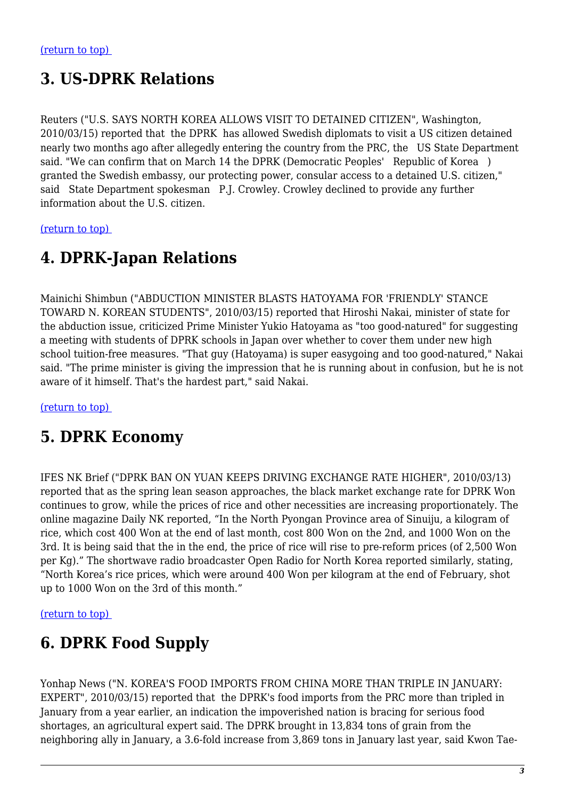# **3. US-DPRK Relations**

Reuters ("U.S. SAYS NORTH KOREA ALLOWS VISIT TO DETAINED CITIZEN", Washington, 2010/03/15) reported that the DPRK has allowed Swedish diplomats to visit a US citizen detained nearly two months ago after allegedly entering the country from the PRC, the US State Department said. "We can confirm that on March 14 the DPRK (Democratic Peoples' Republic of Korea ) granted the Swedish embassy, our protecting power, consular access to a detained U.S. citizen," said State Department spokesman P.J. Crowley. Crowley declined to provide any further information about the U.S. citizen.

<span id="page-2-0"></span>[\(return to top\)](#page-0-0) 

### **4. DPRK-Japan Relations**

Mainichi Shimbun ("ABDUCTION MINISTER BLASTS HATOYAMA FOR 'FRIENDLY' STANCE TOWARD N. KOREAN STUDENTS", 2010/03/15) reported that Hiroshi Nakai, minister of state for the abduction issue, criticized Prime Minister Yukio Hatoyama as "too good-natured" for suggesting a meeting with students of DPRK schools in Japan over whether to cover them under new high school tuition-free measures. "That guy (Hatoyama) is super easygoing and too good-natured," Nakai said. "The prime minister is giving the impression that he is running about in confusion, but he is not aware of it himself. That's the hardest part," said Nakai.

<span id="page-2-1"></span>[\(return to top\)](#page-0-0) 

### **5. DPRK Economy**

IFES NK Brief ("DPRK BAN ON YUAN KEEPS DRIVING EXCHANGE RATE HIGHER", 2010/03/13) reported that as the spring lean season approaches, the black market exchange rate for DPRK Won continues to grow, while the prices of rice and other necessities are increasing proportionately. The online magazine Daily NK reported, "In the North Pyongan Province area of Sinuiju, a kilogram of rice, which cost 400 Won at the end of last month, cost 800 Won on the 2nd, and 1000 Won on the 3rd. It is being said that the in the end, the price of rice will rise to pre-reform prices (of 2,500 Won per Kg)." The shortwave radio broadcaster Open Radio for North Korea reported similarly, stating, "North Korea's rice prices, which were around 400 Won per kilogram at the end of February, shot up to 1000 Won on the 3rd of this month."

<span id="page-2-2"></span>[\(return to top\)](#page-0-0) 

# **6. DPRK Food Supply**

Yonhap News ("N. KOREA'S FOOD IMPORTS FROM CHINA MORE THAN TRIPLE IN JANUARY: EXPERT", 2010/03/15) reported that the DPRK's food imports from the PRC more than tripled in January from a year earlier, an indication the impoverished nation is bracing for serious food shortages, an agricultural expert said. The DPRK brought in 13,834 tons of grain from the neighboring ally in January, a 3.6-fold increase from 3,869 tons in January last year, said Kwon Tae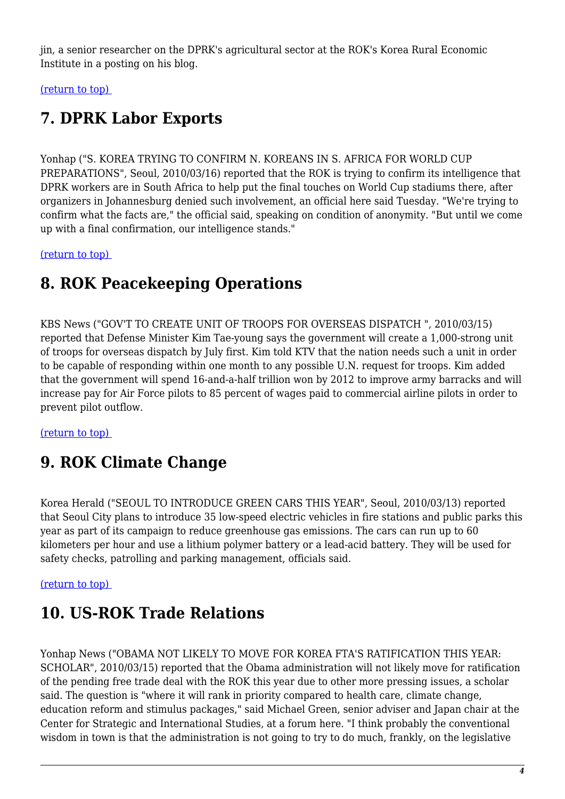jin, a senior researcher on the DPRK's agricultural sector at the ROK's Korea Rural Economic Institute in a posting on his blog.

<span id="page-3-0"></span>[\(return to top\)](#page-0-0) 

# **7. DPRK Labor Exports**

Yonhap ("S. KOREA TRYING TO CONFIRM N. KOREANS IN S. AFRICA FOR WORLD CUP PREPARATIONS", Seoul, 2010/03/16) reported that the ROK is trying to confirm its intelligence that DPRK workers are in South Africa to help put the final touches on World Cup stadiums there, after organizers in Johannesburg denied such involvement, an official here said Tuesday. "We're trying to confirm what the facts are," the official said, speaking on condition of anonymity. "But until we come up with a final confirmation, our intelligence stands."

<span id="page-3-1"></span>[\(return to top\)](#page-0-0) 

## **8. ROK Peacekeeping Operations**

KBS News ("GOV'T TO CREATE UNIT OF TROOPS FOR OVERSEAS DISPATCH ", 2010/03/15) reported that Defense Minister Kim Tae-young says the government will create a 1,000-strong unit of troops for overseas dispatch by July first. Kim told KTV that the nation needs such a unit in order to be capable of responding within one month to any possible U.N. request for troops. Kim added that the government will spend 16-and-a-half trillion won by 2012 to improve army barracks and will increase pay for Air Force pilots to 85 percent of wages paid to commercial airline pilots in order to prevent pilot outflow.

<span id="page-3-2"></span>[\(return to top\)](#page-0-0) 

# **9. ROK Climate Change**

Korea Herald ("SEOUL TO INTRODUCE GREEN CARS THIS YEAR", Seoul, 2010/03/13) reported that Seoul City plans to introduce 35 low-speed electric vehicles in fire stations and public parks this year as part of its campaign to reduce greenhouse gas emissions. The cars can run up to 60 kilometers per hour and use a lithium polymer battery or a lead-acid battery. They will be used for safety checks, patrolling and parking management, officials said.

#### <span id="page-3-3"></span>[\(return to top\)](#page-0-0)

# **10. US-ROK Trade Relations**

Yonhap News ("OBAMA NOT LIKELY TO MOVE FOR KOREA FTA'S RATIFICATION THIS YEAR: SCHOLAR", 2010/03/15) reported that the Obama administration will not likely move for ratification of the pending free trade deal with the ROK this year due to other more pressing issues, a scholar said. The question is "where it will rank in priority compared to health care, climate change, education reform and stimulus packages," said Michael Green, senior adviser and Japan chair at the Center for Strategic and International Studies, at a forum here. "I think probably the conventional wisdom in town is that the administration is not going to try to do much, frankly, on the legislative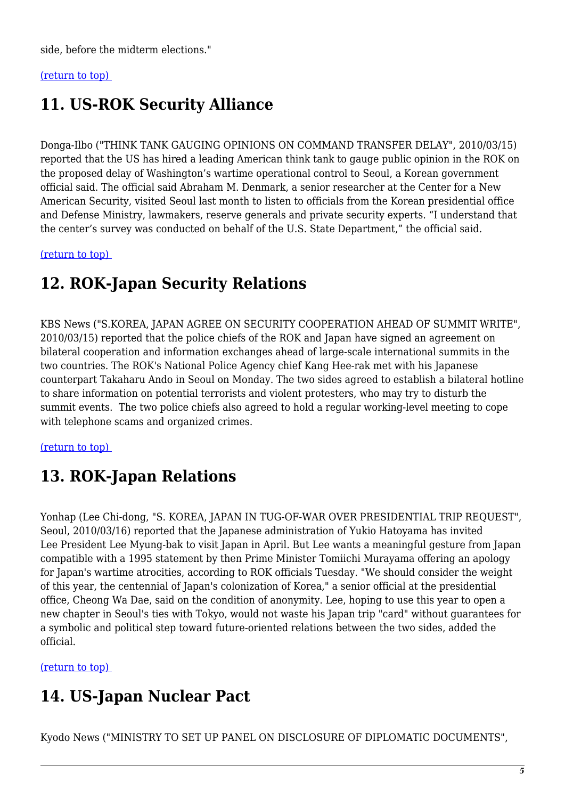side, before the midterm elections."

#### <span id="page-4-0"></span>[\(return to top\)](#page-0-0)

### **11. US-ROK Security Alliance**

Donga-Ilbo ("THINK TANK GAUGING OPINIONS ON COMMAND TRANSFER DELAY", 2010/03/15) reported that the US has hired a leading American think tank to gauge public opinion in the ROK on the proposed delay of Washington's wartime operational control to Seoul, a Korean government official said. The official said Abraham M. Denmark, a senior researcher at the Center for a New American Security, visited Seoul last month to listen to officials from the Korean presidential office and Defense Ministry, lawmakers, reserve generals and private security experts. "I understand that the center's survey was conducted on behalf of the U.S. State Department," the official said.

<span id="page-4-1"></span>[\(return to top\)](#page-0-0) 

## **12. ROK-Japan Security Relations**

KBS News ("S.KOREA, JAPAN AGREE ON SECURITY COOPERATION AHEAD OF SUMMIT WRITE", 2010/03/15) reported that the police chiefs of the ROK and Japan have signed an agreement on bilateral cooperation and information exchanges ahead of large-scale international summits in the two countries. The ROK's National Police Agency chief Kang Hee-rak met with his Japanese counterpart Takaharu Ando in Seoul on Monday. The two sides agreed to establish a bilateral hotline to share information on potential terrorists and violent protesters, who may try to disturb the summit events. The two police chiefs also agreed to hold a regular working-level meeting to cope with telephone scams and organized crimes.

<span id="page-4-2"></span>[\(return to top\)](#page-0-0) 

### **13. ROK-Japan Relations**

Yonhap (Lee Chi-dong, "S. KOREA, JAPAN IN TUG-OF-WAR OVER PRESIDENTIAL TRIP REQUEST", Seoul, 2010/03/16) reported that the Japanese administration of Yukio Hatoyama has invited Lee President Lee Myung-bak to visit Japan in April. But Lee wants a meaningful gesture from Japan compatible with a 1995 statement by then Prime Minister Tomiichi Murayama offering an apology for Japan's wartime atrocities, according to ROK officials Tuesday. "We should consider the weight of this year, the centennial of Japan's colonization of Korea," a senior official at the presidential office, Cheong Wa Dae, said on the condition of anonymity. Lee, hoping to use this year to open a new chapter in Seoul's ties with Tokyo, would not waste his Japan trip "card" without guarantees for a symbolic and political step toward future-oriented relations between the two sides, added the official.

<span id="page-4-3"></span>[\(return to top\)](#page-0-0) 

# **14. US-Japan Nuclear Pact**

Kyodo News ("MINISTRY TO SET UP PANEL ON DISCLOSURE OF DIPLOMATIC DOCUMENTS",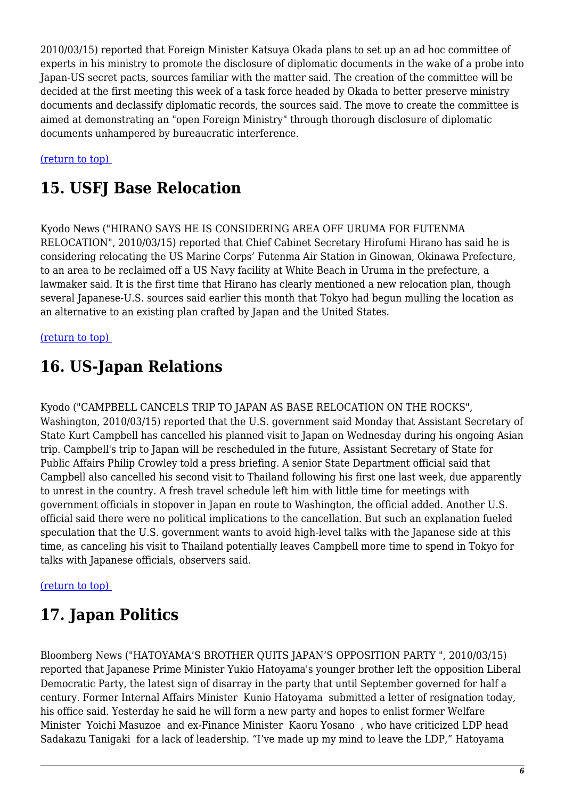2010/03/15) reported that Foreign Minister Katsuya Okada plans to set up an ad hoc committee of experts in his ministry to promote the disclosure of diplomatic documents in the wake of a probe into Japan-US secret pacts, sources familiar with the matter said. The creation of the committee will be decided at the first meeting this week of a task force headed by Okada to better preserve ministry documents and declassify diplomatic records, the sources said. The move to create the committee is aimed at demonstrating an "open Foreign Ministry" through thorough disclosure of diplomatic documents unhampered by bureaucratic interference.

<span id="page-5-0"></span>[\(return to top\)](#page-0-0) 

# **15. USFJ Base Relocation**

Kyodo News ("HIRANO SAYS HE IS CONSIDERING AREA OFF URUMA FOR FUTENMA RELOCATION", 2010/03/15) reported that Chief Cabinet Secretary Hirofumi Hirano has said he is considering relocating the US Marine Corps' Futenma Air Station in Ginowan, Okinawa Prefecture, to an area to be reclaimed off a US Navy facility at White Beach in Uruma in the prefecture, a lawmaker said. It is the first time that Hirano has clearly mentioned a new relocation plan, though several Japanese-U.S. sources said earlier this month that Tokyo had begun mulling the location as an alternative to an existing plan crafted by Japan and the United States.

#### <span id="page-5-1"></span>[\(return to top\)](#page-0-0)

# **16. US-Japan Relations**

Kyodo ("CAMPBELL CANCELS TRIP TO JAPAN AS BASE RELOCATION ON THE ROCKS", Washington, 2010/03/15) reported that the U.S. government said Monday that Assistant Secretary of State Kurt Campbell has cancelled his planned visit to Japan on Wednesday during his ongoing Asian trip. Campbell's trip to Japan will be rescheduled in the future, Assistant Secretary of State for Public Affairs Philip Crowley told a press briefing. A senior State Department official said that Campbell also cancelled his second visit to Thailand following his first one last week, due apparently to unrest in the country. A fresh travel schedule left him with little time for meetings with government officials in stopover in Japan en route to Washington, the official added. Another U.S. official said there were no political implications to the cancellation. But such an explanation fueled speculation that the U.S. government wants to avoid high-level talks with the Japanese side at this time, as canceling his visit to Thailand potentially leaves Campbell more time to spend in Tokyo for talks with Japanese officials, observers said.

#### <span id="page-5-2"></span>[\(return to top\)](#page-0-0)

# **17. Japan Politics**

Bloomberg News ("HATOYAMA'S BROTHER QUITS JAPAN'S OPPOSITION PARTY ", 2010/03/15) reported that Japanese Prime Minister Yukio Hatoyama's younger brother left the opposition Liberal Democratic Party, the latest sign of disarray in the party that until September governed for half a century. Former Internal Affairs Minister Kunio Hatoyama submitted a letter of resignation today, his office said. Yesterday he said he will form a new party and hopes to enlist former Welfare Minister Yoichi Masuzoe and ex-Finance Minister Kaoru Yosano , who have criticized LDP head Sadakazu Tanigaki for a lack of leadership. "I've made up my mind to leave the LDP," Hatoyama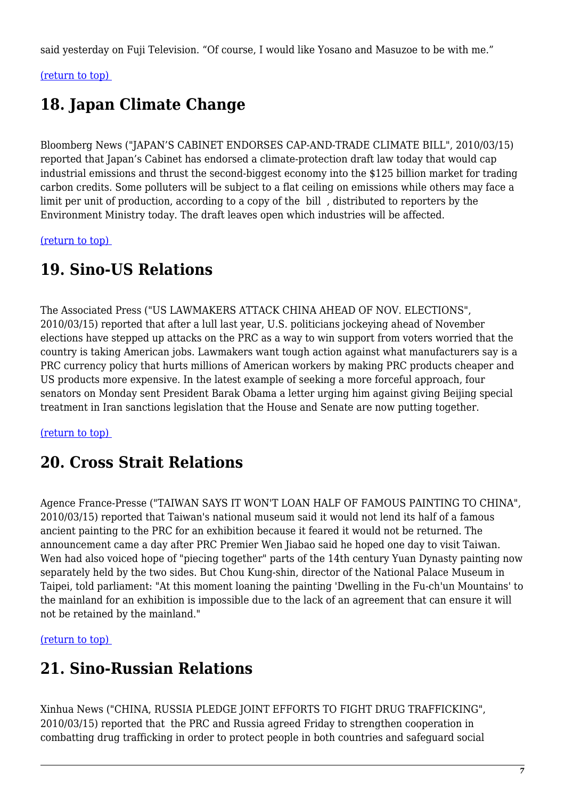said yesterday on Fuji Television. "Of course, I would like Yosano and Masuzoe to be with me."

#### <span id="page-6-0"></span>[\(return to top\)](#page-0-0)

# **18. Japan Climate Change**

Bloomberg News ("JAPAN'S CABINET ENDORSES CAP-AND-TRADE CLIMATE BILL", 2010/03/15) reported that Japan's Cabinet has endorsed a climate-protection draft law today that would cap industrial emissions and thrust the second-biggest economy into the \$125 billion market for trading carbon credits. Some polluters will be subject to a flat ceiling on emissions while others may face a limit per unit of production, according to a copy of the bill , distributed to reporters by the Environment Ministry today. The draft leaves open which industries will be affected.

<span id="page-6-1"></span>[\(return to top\)](#page-0-0) 

## **19. Sino-US Relations**

The Associated Press ("US LAWMAKERS ATTACK CHINA AHEAD OF NOV. ELECTIONS", 2010/03/15) reported that after a lull last year, U.S. politicians jockeying ahead of November elections have stepped up attacks on the PRC as a way to win support from voters worried that the country is taking American jobs. Lawmakers want tough action against what manufacturers say is a PRC currency policy that hurts millions of American workers by making PRC products cheaper and US products more expensive. In the latest example of seeking a more forceful approach, four senators on Monday sent President Barak Obama a letter urging him against giving Beijing special treatment in Iran sanctions legislation that the House and Senate are now putting together.

<span id="page-6-2"></span>[\(return to top\)](#page-0-0) 

# **20. Cross Strait Relations**

Agence France-Presse ("TAIWAN SAYS IT WON'T LOAN HALF OF FAMOUS PAINTING TO CHINA", 2010/03/15) reported that Taiwan's national museum said it would not lend its half of a famous ancient painting to the PRC for an exhibition because it feared it would not be returned. The announcement came a day after PRC Premier Wen Jiabao said he hoped one day to visit Taiwan. Wen had also voiced hope of "piecing together" parts of the 14th century Yuan Dynasty painting now separately held by the two sides. But Chou Kung-shin, director of the National Palace Museum in Taipei, told parliament: "At this moment loaning the painting 'Dwelling in the Fu-ch'un Mountains' to the mainland for an exhibition is impossible due to the lack of an agreement that can ensure it will not be retained by the mainland."

<span id="page-6-3"></span>[\(return to top\)](#page-0-0) 

### **21. Sino-Russian Relations**

Xinhua News ("CHINA, RUSSIA PLEDGE JOINT EFFORTS TO FIGHT DRUG TRAFFICKING", 2010/03/15) reported that the PRC and Russia agreed Friday to strengthen cooperation in combatting drug trafficking in order to protect people in both countries and safeguard social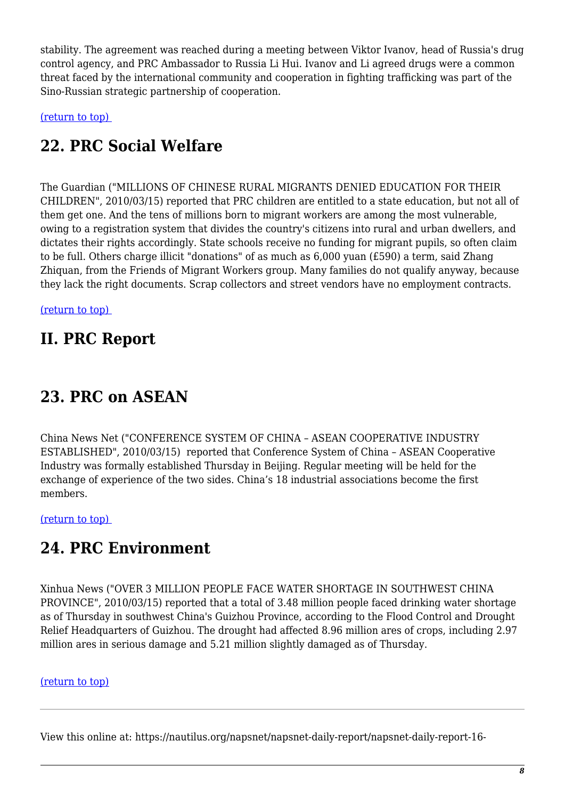stability. The agreement was reached during a meeting between Viktor Ivanov, head of Russia's drug control agency, and PRC Ambassador to Russia Li Hui. Ivanov and Li agreed drugs were a common threat faced by the international community and cooperation in fighting trafficking was part of the Sino-Russian strategic partnership of cooperation.

<span id="page-7-0"></span>[\(return to top\)](#page-0-0) 

# **22. PRC Social Welfare**

The Guardian ("MILLIONS OF CHINESE RURAL MIGRANTS DENIED EDUCATION FOR THEIR CHILDREN", 2010/03/15) reported that PRC children are entitled to a state education, but not all of them get one. And the tens of millions born to migrant workers are among the most vulnerable, owing to a registration system that divides the country's citizens into rural and urban dwellers, and dictates their rights accordingly. State schools receive no funding for migrant pupils, so often claim to be full. Others charge illicit "donations" of as much as 6,000 yuan (£590) a term, said Zhang Zhiquan, from the Friends of Migrant Workers group. Many families do not qualify anyway, because they lack the right documents. Scrap collectors and street vendors have no employment contracts.

[\(return to top\)](#page-0-0) 

#### **II. PRC Report**

# <span id="page-7-1"></span>**23. PRC on ASEAN**

China News Net ("CONFERENCE SYSTEM OF CHINA – ASEAN COOPERATIVE INDUSTRY ESTABLISHED", 2010/03/15) reported that Conference System of China – ASEAN Cooperative Industry was formally established Thursday in Beijing. Regular meeting will be held for the exchange of experience of the two sides. China's 18 industrial associations become the first members.

<span id="page-7-2"></span>[\(return to top\)](#page-0-0) 

### **24. PRC Environment**

Xinhua News ("OVER 3 MILLION PEOPLE FACE WATER SHORTAGE IN SOUTHWEST CHINA PROVINCE", 2010/03/15) reported that a total of 3.48 million people faced drinking water shortage as of Thursday in southwest China's Guizhou Province, according to the Flood Control and Drought Relief Headquarters of Guizhou. The drought had affected 8.96 million ares of crops, including 2.97 million ares in serious damage and 5.21 million slightly damaged as of Thursday.

#### [\(return to top\)](#page-0-0)

View this online at: https://nautilus.org/napsnet/napsnet-daily-report/napsnet-daily-report-16-